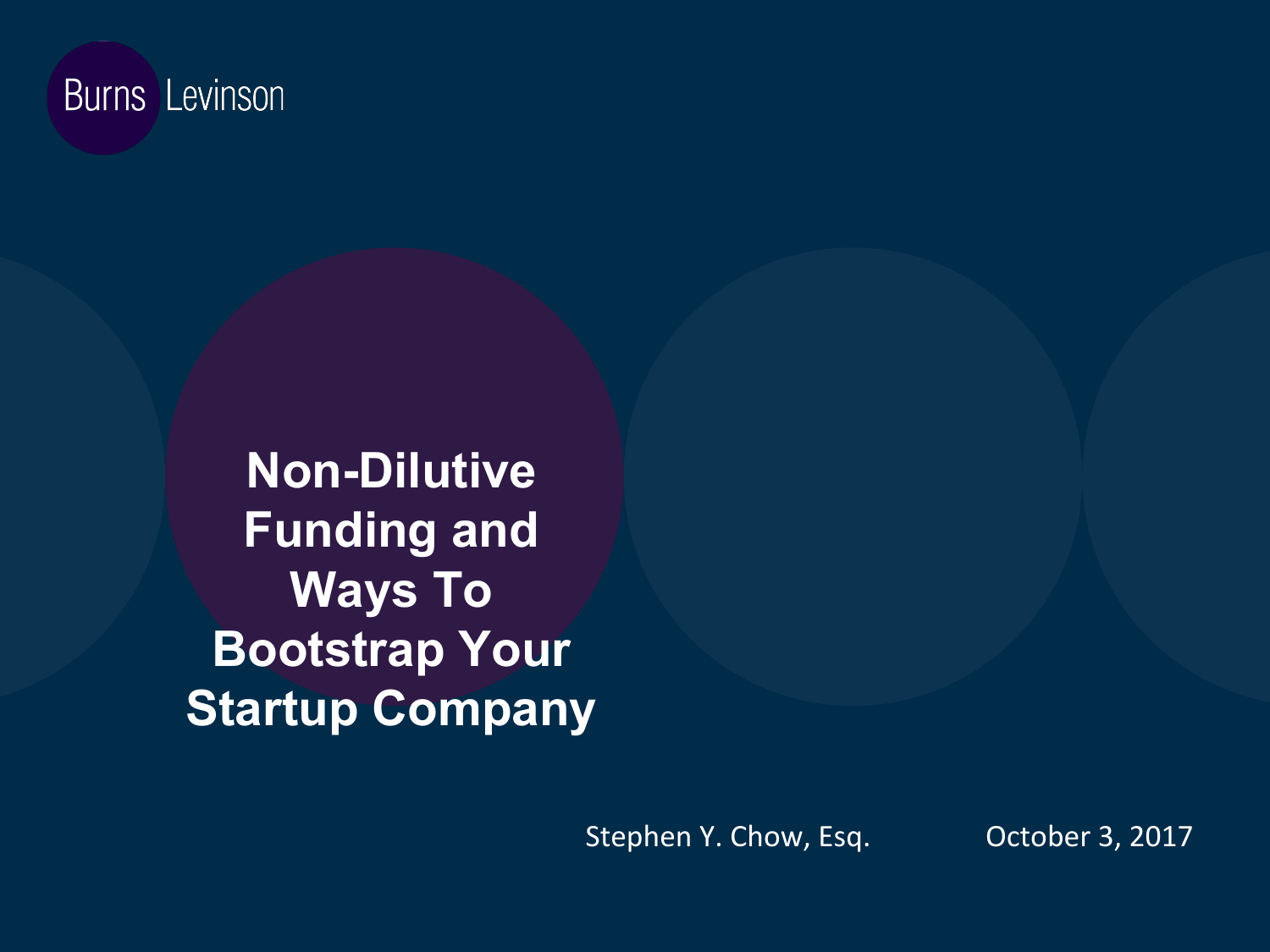#### **Burns** Levinson

**Non-Dilutive Funding and Ways To Bootstrap Your Startup Company** 

Stephen Y. Chow, Esq. October 3, 2017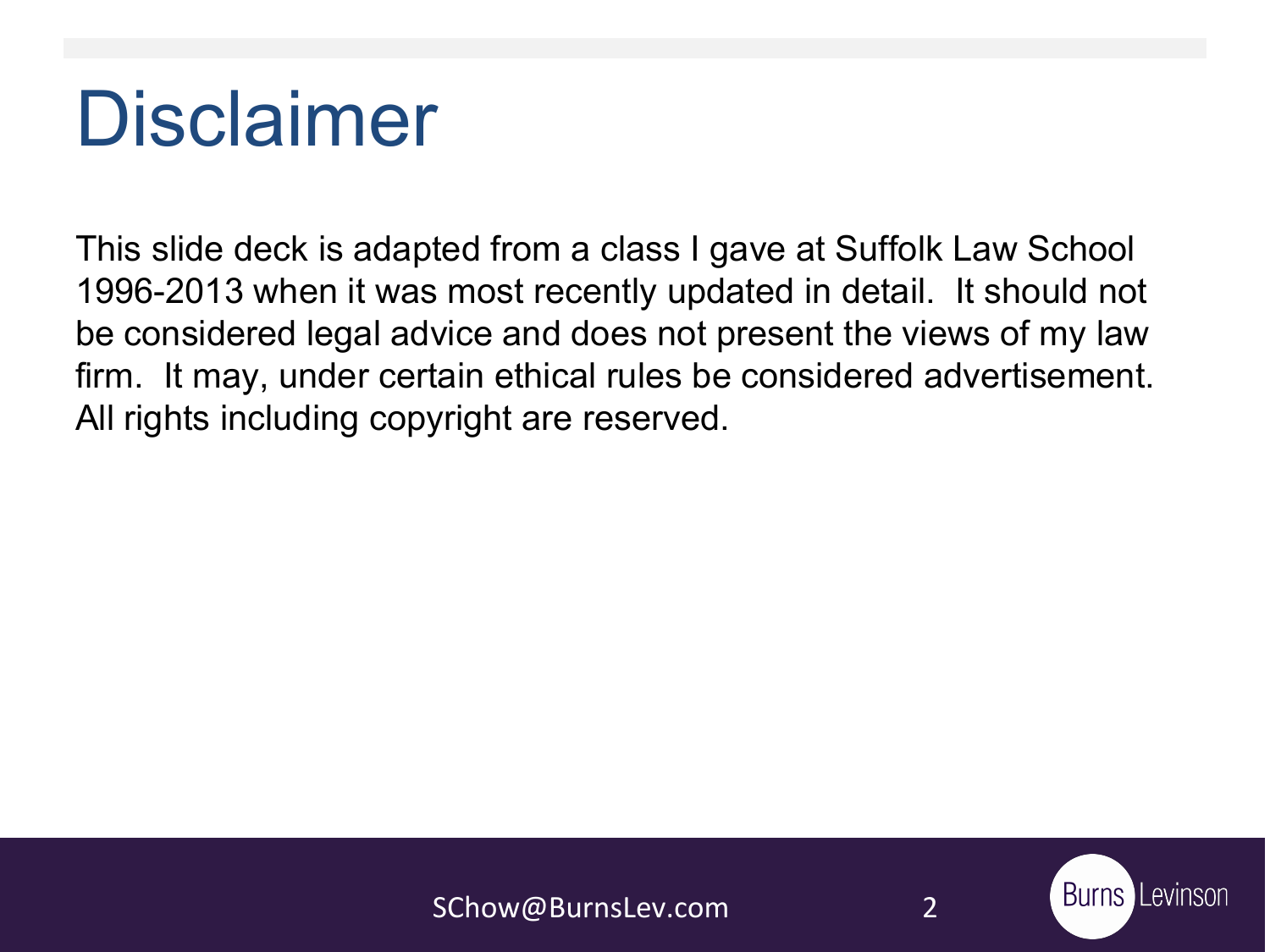# Disclaimer

This slide deck is adapted from a class I gave at Suffolk Law School 1996-2013 when it was most recently updated in detail. It should not be considered legal advice and does not present the views of my law firm. It may, under certain ethical rules be considered advertisement. All rights including copyright are reserved.

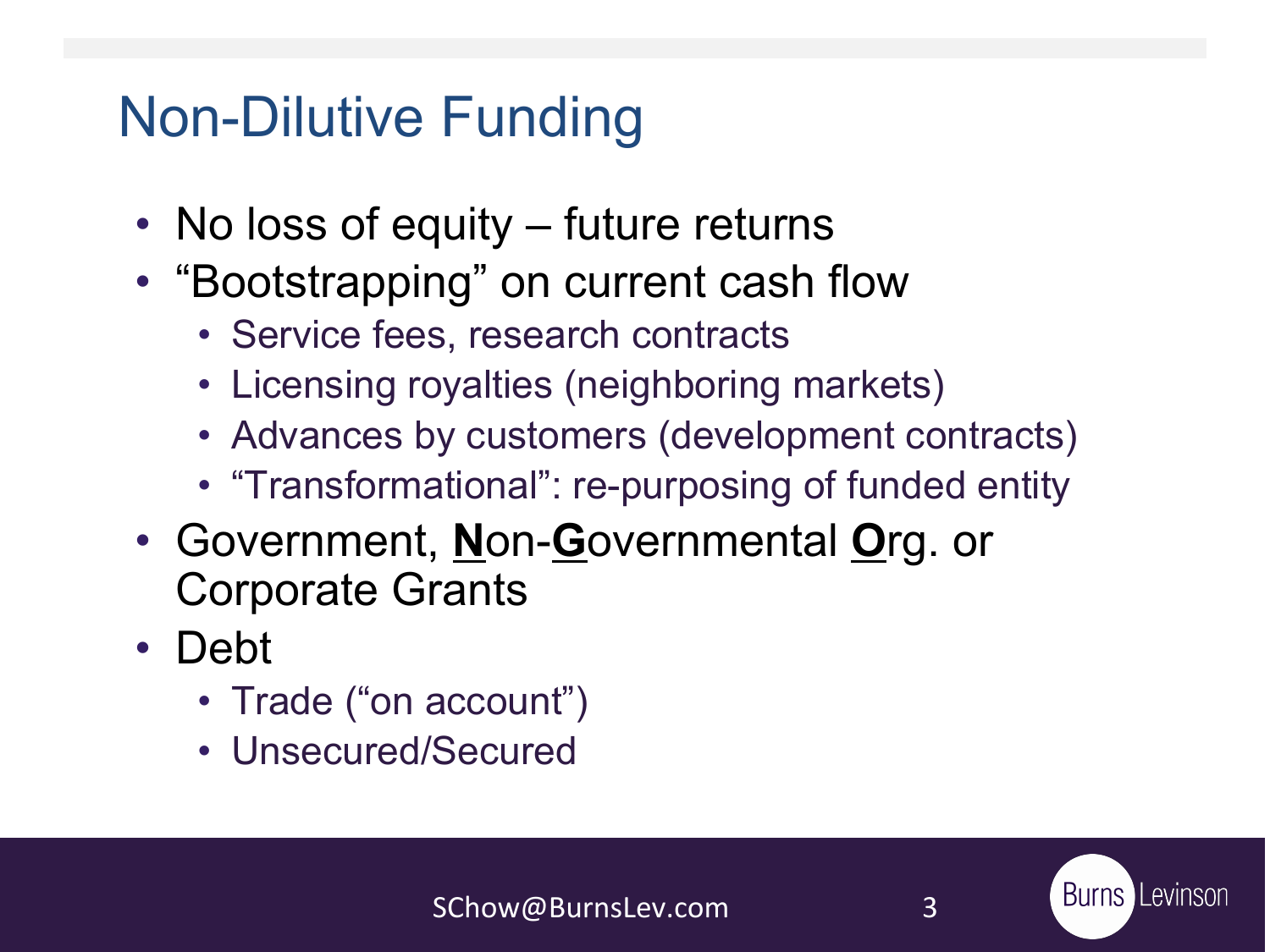### Non-Dilutive Funding

- No loss of equity future returns
- "Bootstrapping" on current cash flow
	- Service fees, research contracts
	- Licensing royalties (neighboring markets)
	- Advances by customers (development contracts)
	- "Transformational": re-purposing of funded entity
- Government, **N**on-**G**overnmental **O**rg. or Corporate Grants
- Debt
	- Trade ("on account")
	- Unsecured/Secured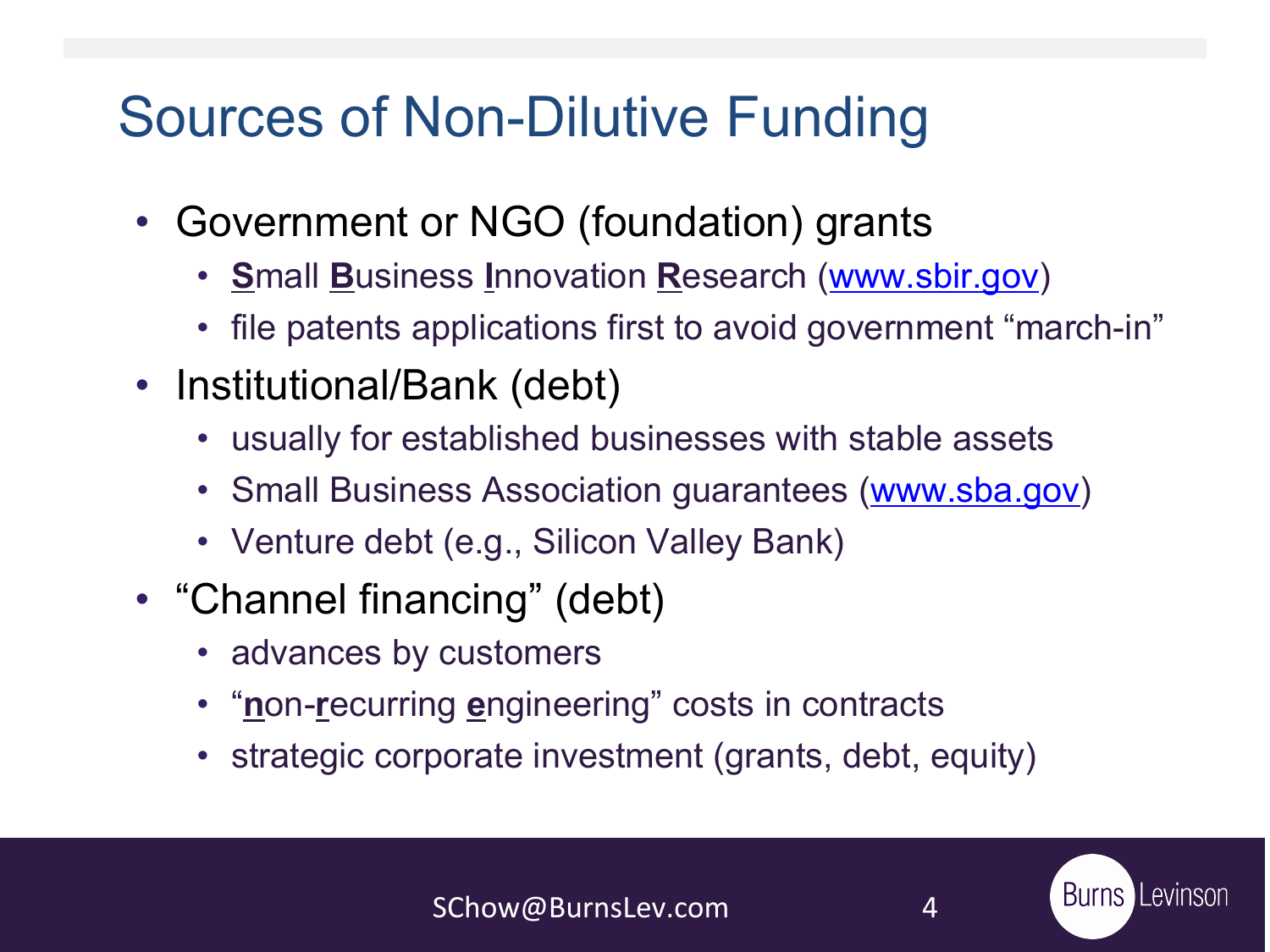### Sources of Non-Dilutive Funding

- Government or NGO (foundation) grants
	- **S**mall **B**usiness **I**nnovation **R**esearch [\(www.sbir.gov](http://www.sbir.gov/))
	- file patents applications first to avoid government "march-in"
- Institutional/Bank (debt)
	- usually for established businesses with stable assets
	- Small Business Association guarantees ([www.sba.gov](http://www.sba.gov/))
	- Venture debt (e.g., Silicon Valley Bank)
- "Channel financing" (debt)
	- advances by customers
	- "**n**on-**r**ecurring **e**ngineering" costs in contracts
	- strategic corporate investment (grants, debt, equity)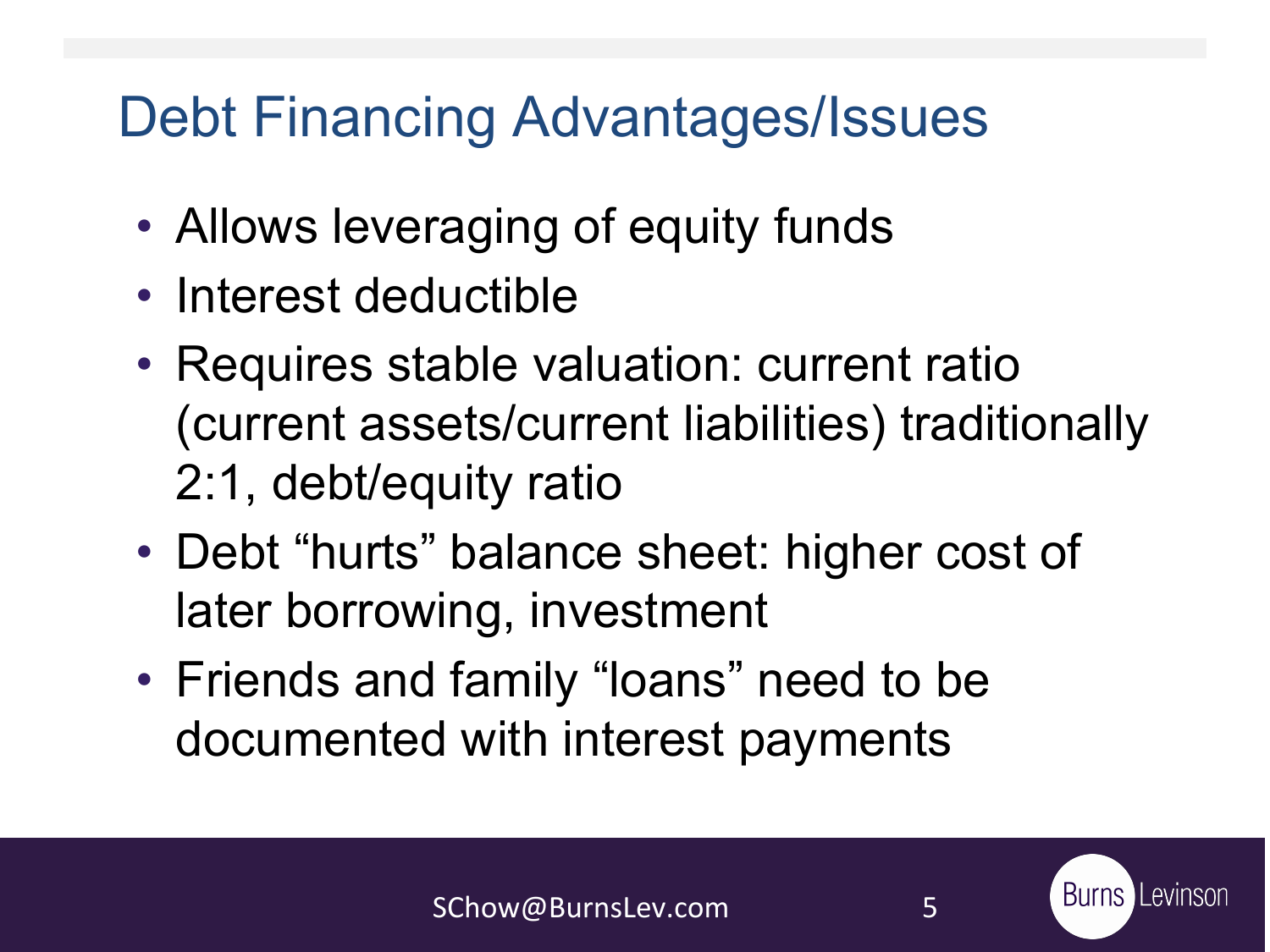### Debt Financing Advantages/Issues

- Allows leveraging of equity funds
- Interest deductible
- Requires stable valuation: current ratio (current assets/current liabilities) traditionally 2:1, debt/equity ratio
- Debt "hurts" balance sheet: higher cost of later borrowing, investment
- Friends and family "loans" need to be documented with interest payments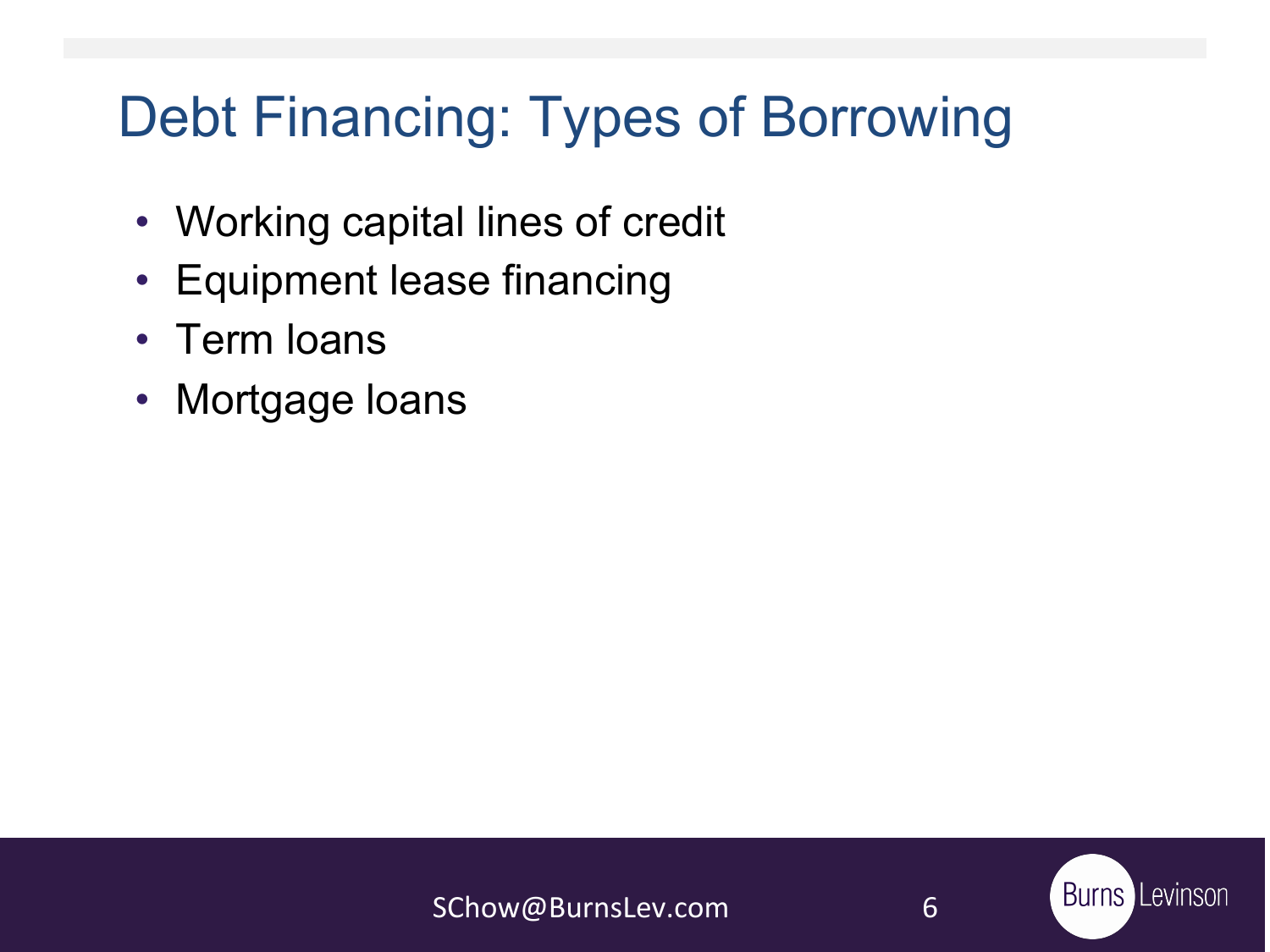### Debt Financing: Types of Borrowing

- Working capital lines of credit
- Equipment lease financing
- Term loans
- Mortgage loans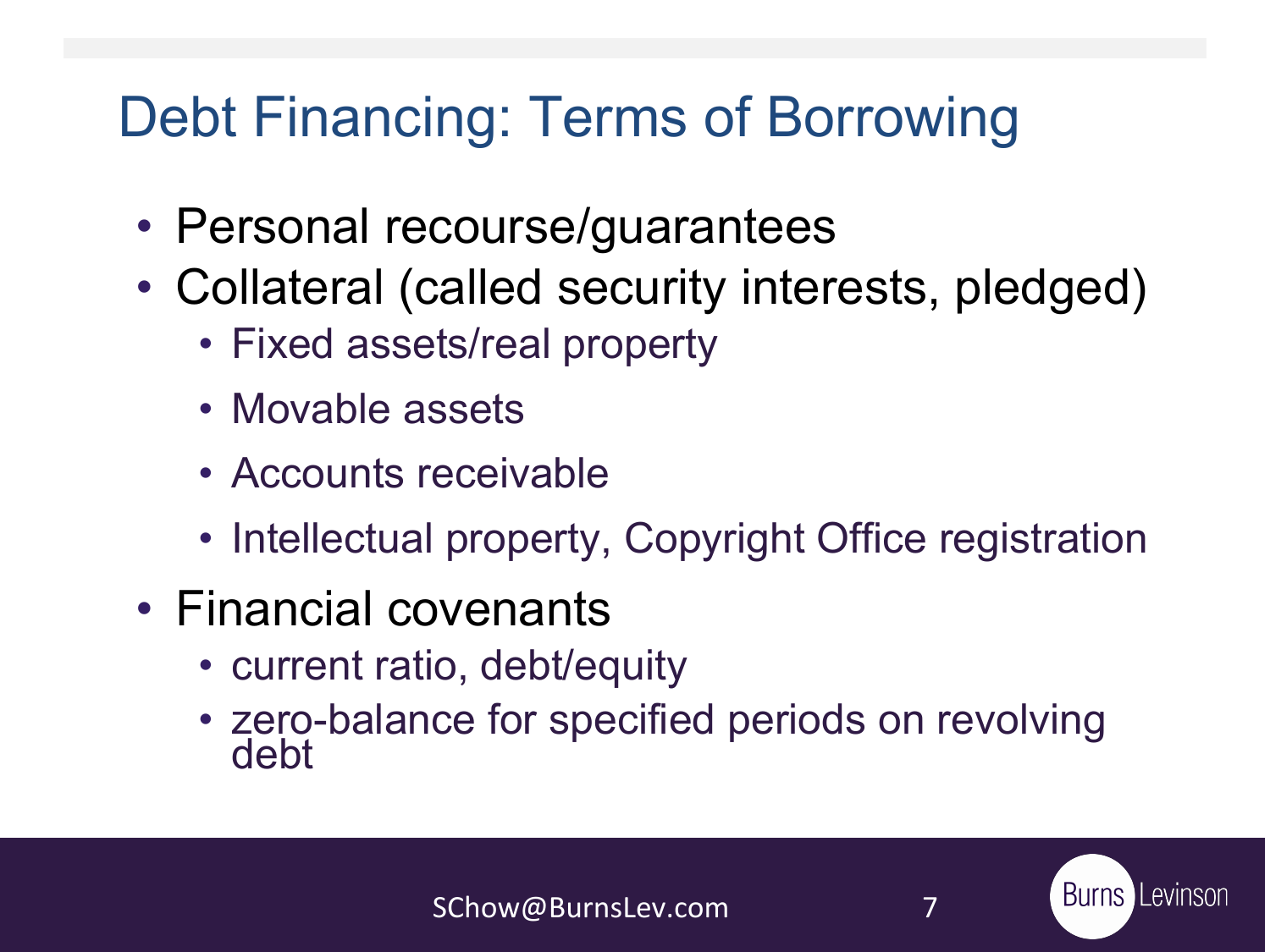### Debt Financing: Terms of Borrowing

- Personal recourse/guarantees
- Collateral (called security interests, pledged)
	- Fixed assets/real property
	- Movable assets
	- Accounts receivable
	- Intellectual property, Copyright Office registration
- Financial covenants
	- current ratio, debt/equity
	- zero-balance for specified periods on revolving debt

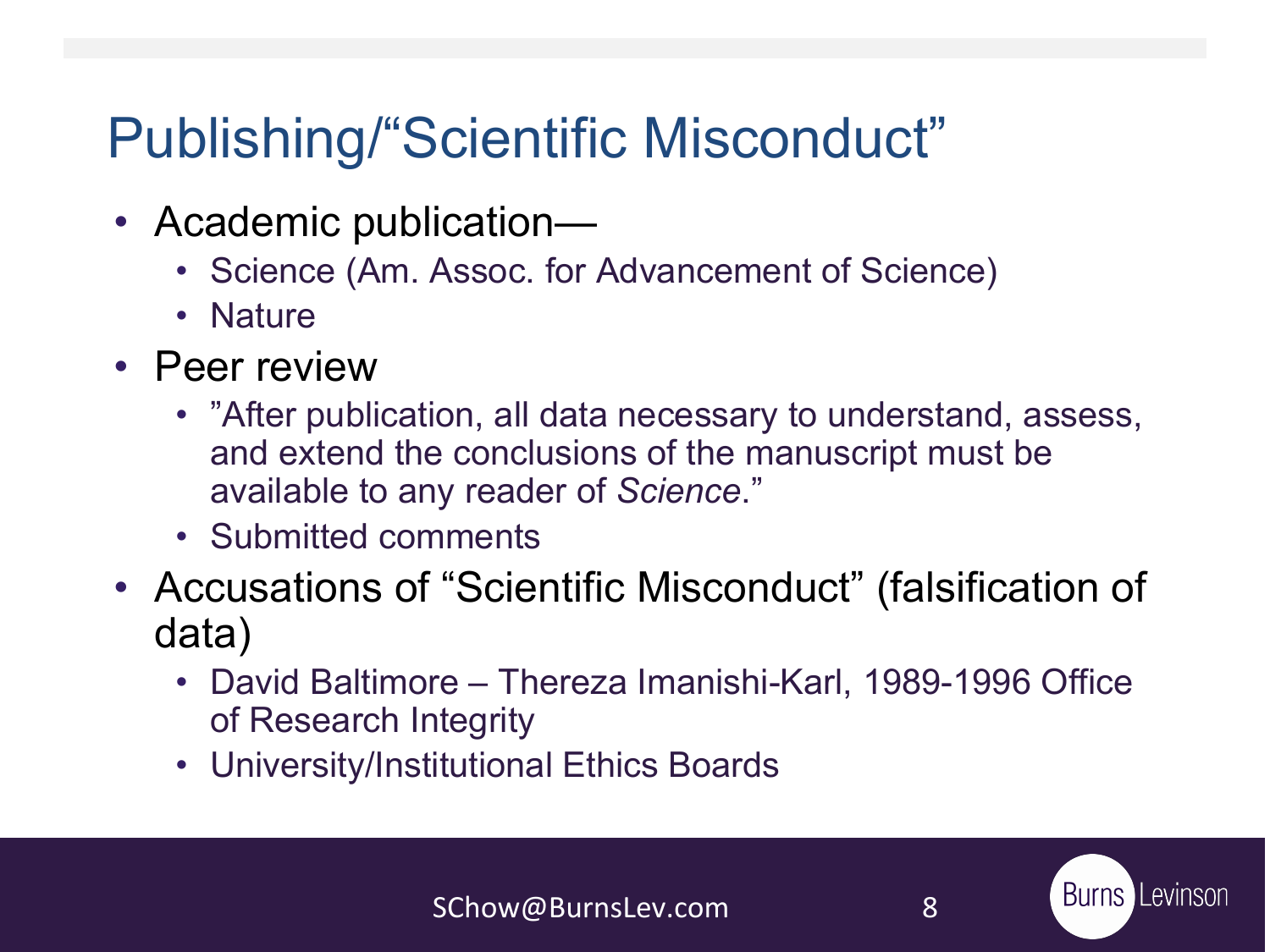### Publishing/"Scientific Misconduct"

- Academic publication—
	- Science (Am. Assoc. for Advancement of Science)
	- Nature
- Peer review
	- "After publication, all data necessary to understand, assess, and extend the conclusions of the manuscript must be available to any reader of *Science*."
	- Submitted comments
- Accusations of "Scientific Misconduct" (falsification of data)
	- David Baltimore Thereza Imanishi-Karl, 1989-1996 Office of Research Integrity
	- University/Institutional Ethics Boards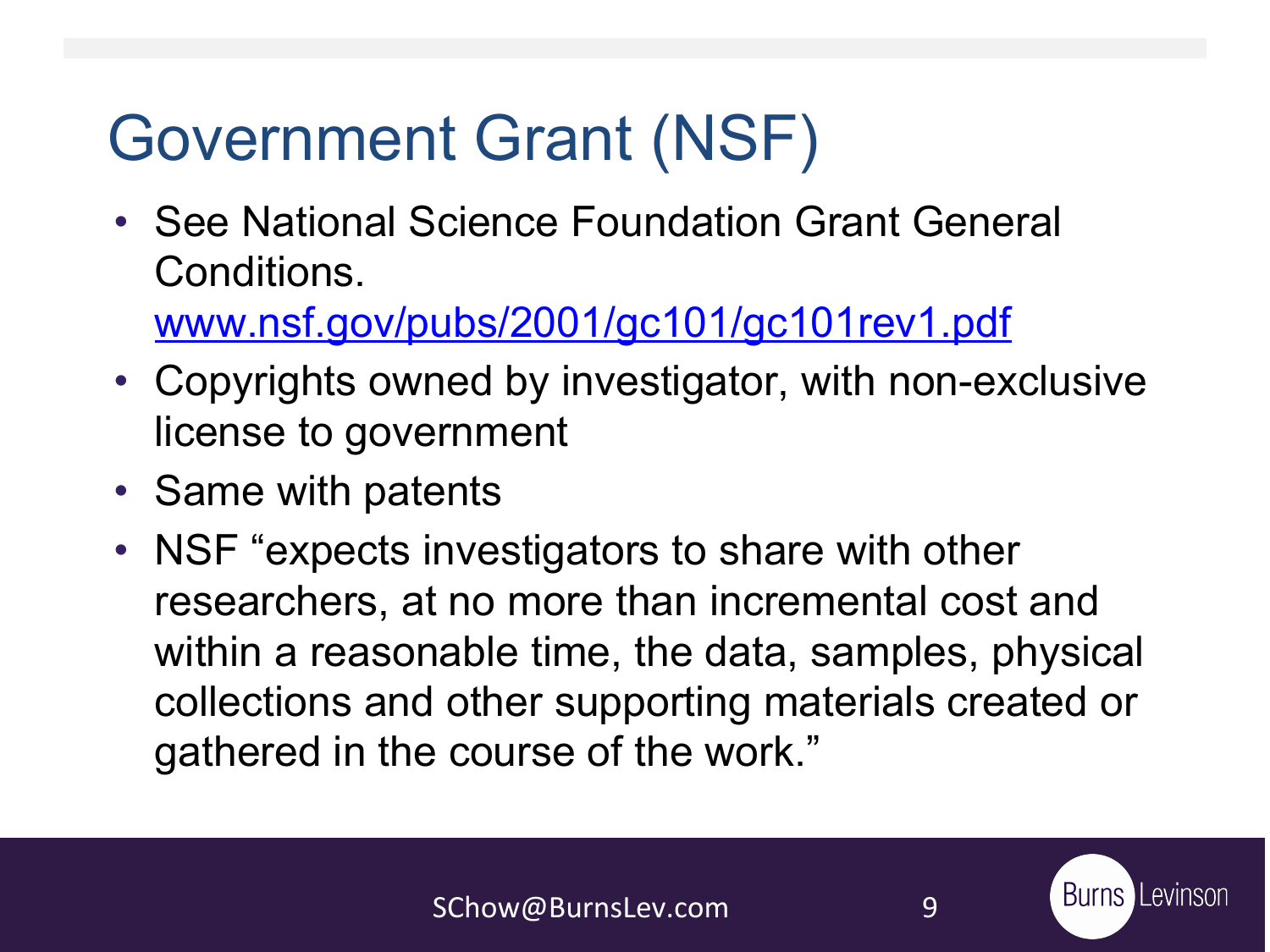## Government Grant (NSF)

• See National Science Foundation Grant General Conditions.

[www.nsf.gov/pubs/2001/gc101/gc101rev1.pdf](http://www.nsf.gov/pubs/2001/gc101/gc101rev1.pdf)

- Copyrights owned by investigator, with non-exclusive license to government
- Same with patents
- NSF "expects investigators to share with other researchers, at no more than incremental cost and within a reasonable time, the data, samples, physical collections and other supporting materials created or gathered in the course of the work."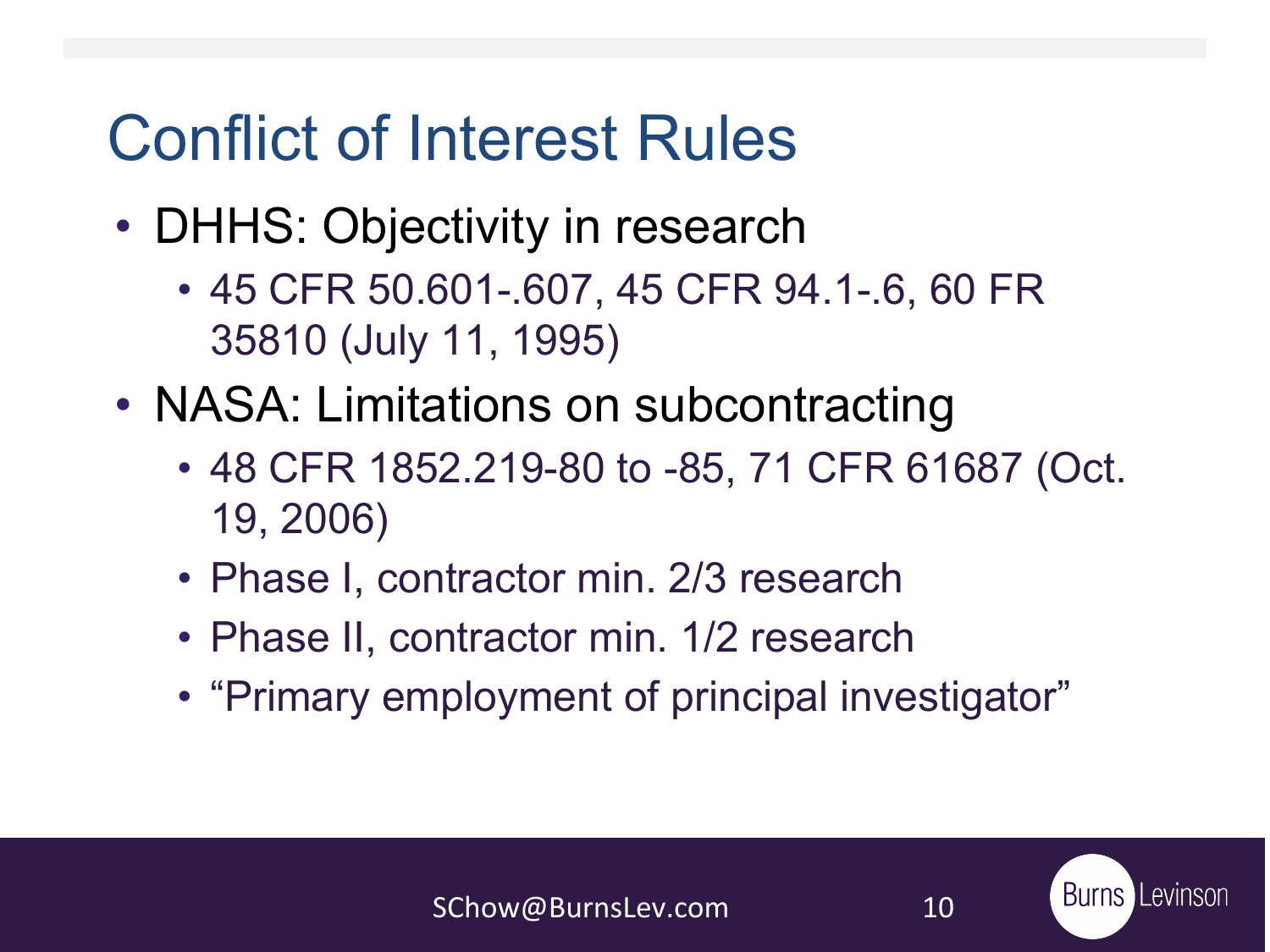## Conflict of Interest Rules

- DHHS: Objectivity in research
	- 45 CFR 50.601-.607, 45 CFR 94.1-.6, 60 FR 35810 (July 11, 1995)
- NASA: Limitations on subcontracting
	- 48 CFR 1852.219-80 to -85, 71 CFR 61687 (Oct. 19, 2006)
	- Phase I, contractor min. 2/3 research
	- Phase II, contractor min. 1/2 research
	- "Primary employment of principal investigator"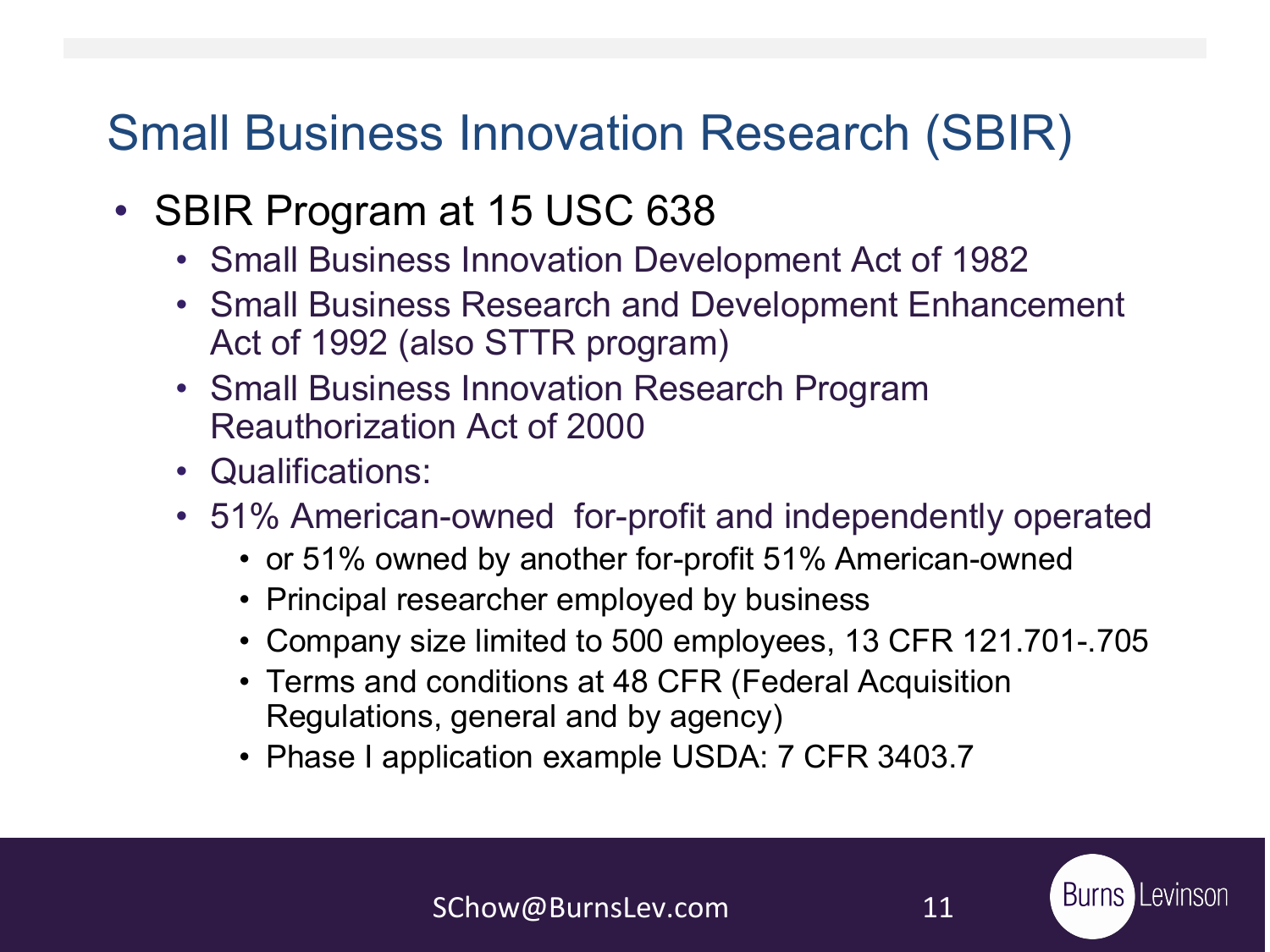#### Small Business Innovation Research (SBIR)

- SBIR Program at 15 USC 638
	- Small Business Innovation Development Act of 1982
	- Small Business Research and Development Enhancement Act of 1992 (also STTR program)
	- Small Business Innovation Research Program Reauthorization Act of 2000
	- Qualifications:
	- 51% American-owned for-profit and independently operated
		- or 51% owned by another for-profit 51% American-owned
		- Principal researcher employed by business
		- Company size limited to 500 employees, 13 CFR 121.701-.705
		- Terms and conditions at 48 CFR (Federal Acquisition Regulations, general and by agency)
		- Phase I application example USDA: 7 CFR 3403.7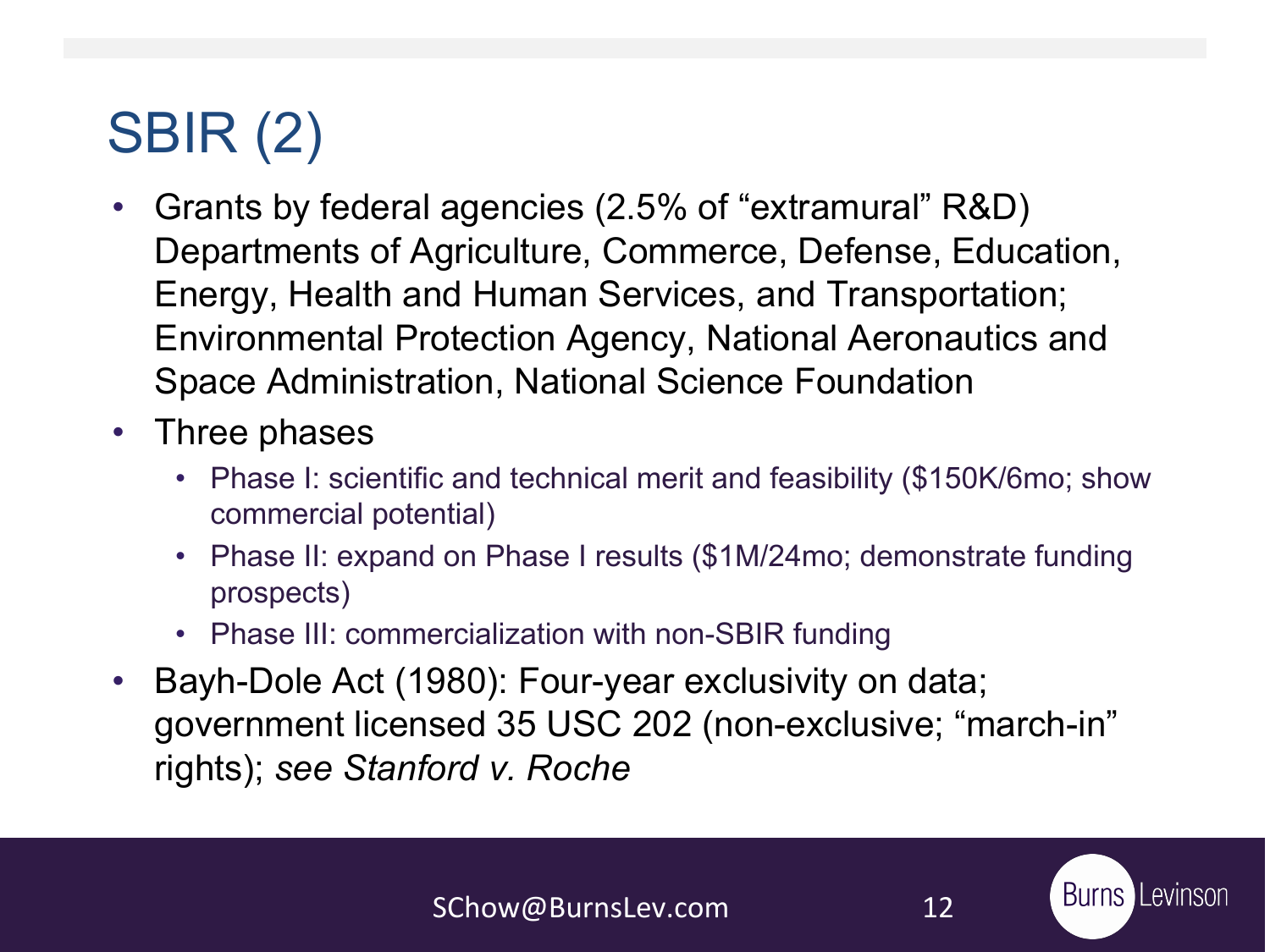### SBIR (2)

- Grants by federal agencies (2.5% of "extramural" R&D) Departments of Agriculture, Commerce, Defense, Education, Energy, Health and Human Services, and Transportation; Environmental Protection Agency, National Aeronautics and Space Administration, National Science Foundation
- Three phases
	- Phase I: scientific and technical merit and feasibility (\$150K/6mo; show commercial potential)
	- Phase II: expand on Phase I results (\$1M/24mo; demonstrate funding prospects)
	- Phase III: commercialization with non-SBIR funding
- Bayh-Dole Act (1980): Four-year exclusivity on data; government licensed 35 USC 202 (non-exclusive; "march-in" rights); *see Stanford v. Roche*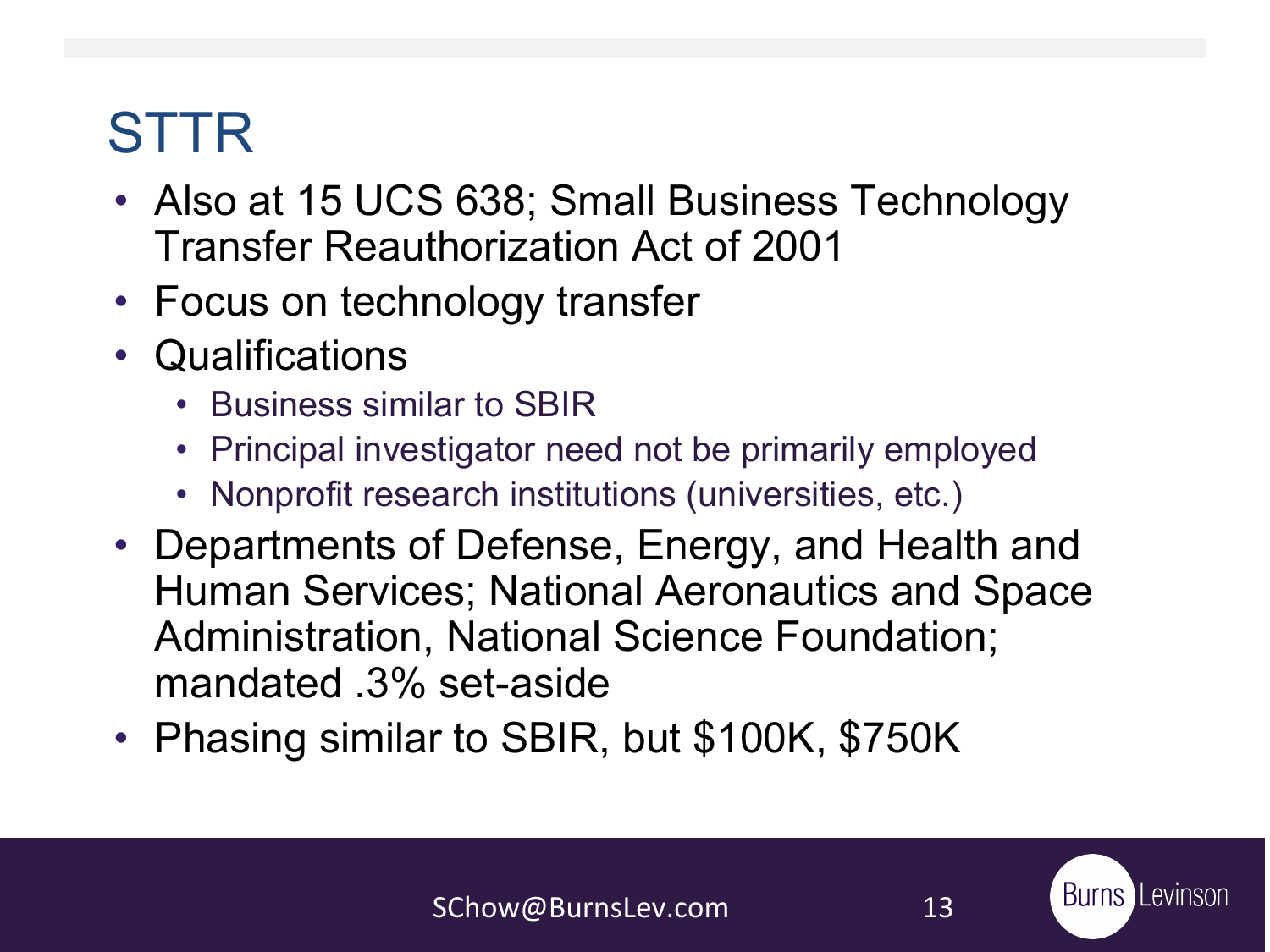### STTR

- Also at 15 UCS 638; Small Business Technology Transfer Reauthorization Act of 2001
- Focus on technology transfer
- Qualifications
	- Business similar to SBIR
	- Principal investigator need not be primarily employed
	- Nonprofit research institutions (universities, etc.)
- Departments of Defense, Energy, and Health and Human Services; National Aeronautics and Space Administration, National Science Foundation; mandated .3% set-aside
- Phasing similar to SBIR, but \$100K, \$750K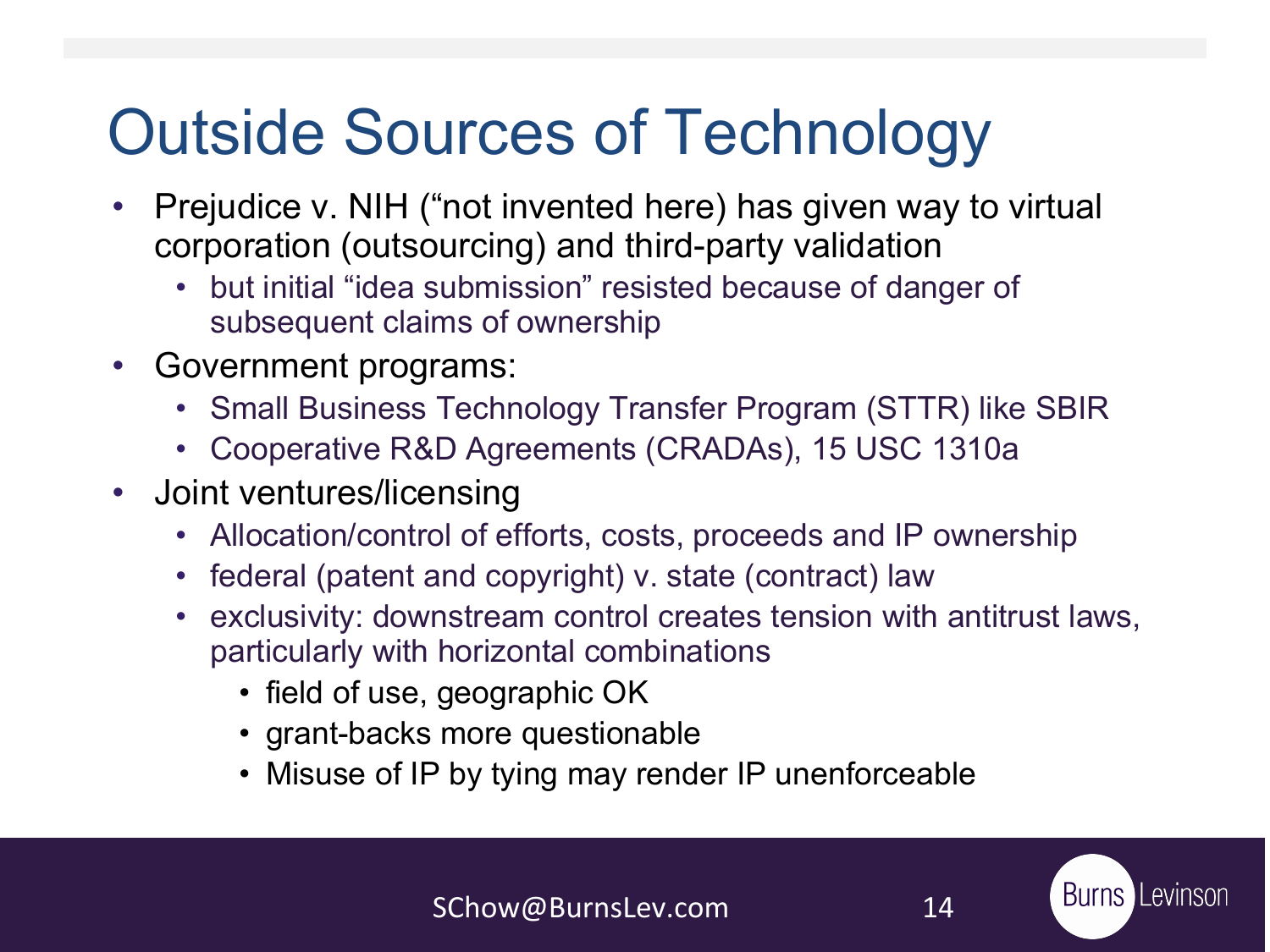## Outside Sources of Technology

- Prejudice v. NIH ("not invented here) has given way to virtual corporation (outsourcing) and third-party validation
	- but initial "idea submission" resisted because of danger of subsequent claims of ownership
- Government programs:
	- Small Business Technology Transfer Program (STTR) like SBIR
	- Cooperative R&D Agreements (CRADAs), 15 USC 1310a
- Joint ventures/licensing
	- Allocation/control of efforts, costs, proceeds and IP ownership
	- federal (patent and copyright) v. state (contract) law
	- exclusivity: downstream control creates tension with antitrust laws, particularly with horizontal combinations
		- field of use, geographic OK
		- grant-backs more questionable
		- Misuse of IP by tying may render IP unenforceable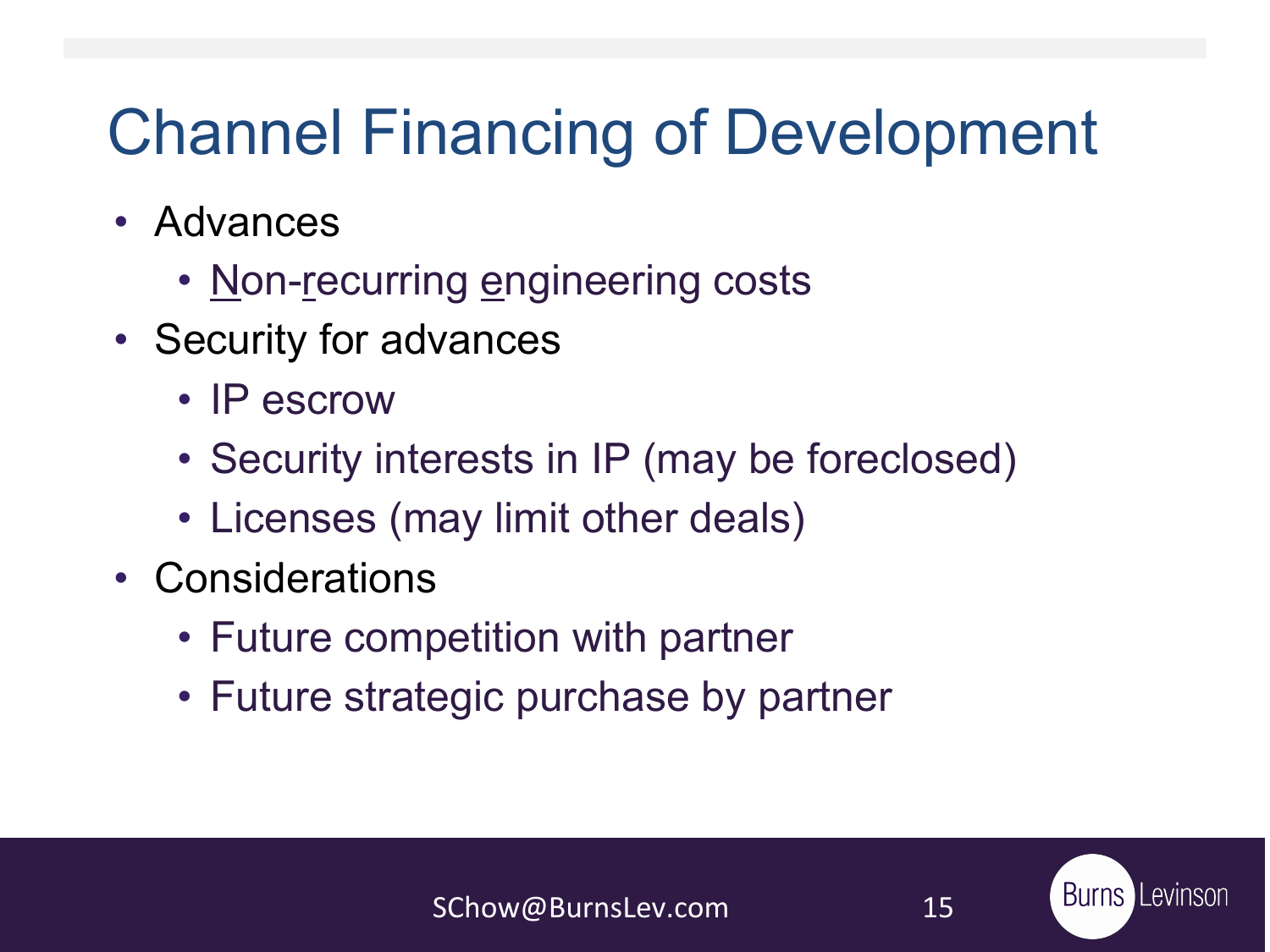## Channel Financing of Development

- Advances
	- Non-recurring engineering costs
- Security for advances
	- IP escrow
	- Security interests in IP (may be foreclosed)
	- Licenses (may limit other deals)
- Considerations
	- Future competition with partner
	- Future strategic purchase by partner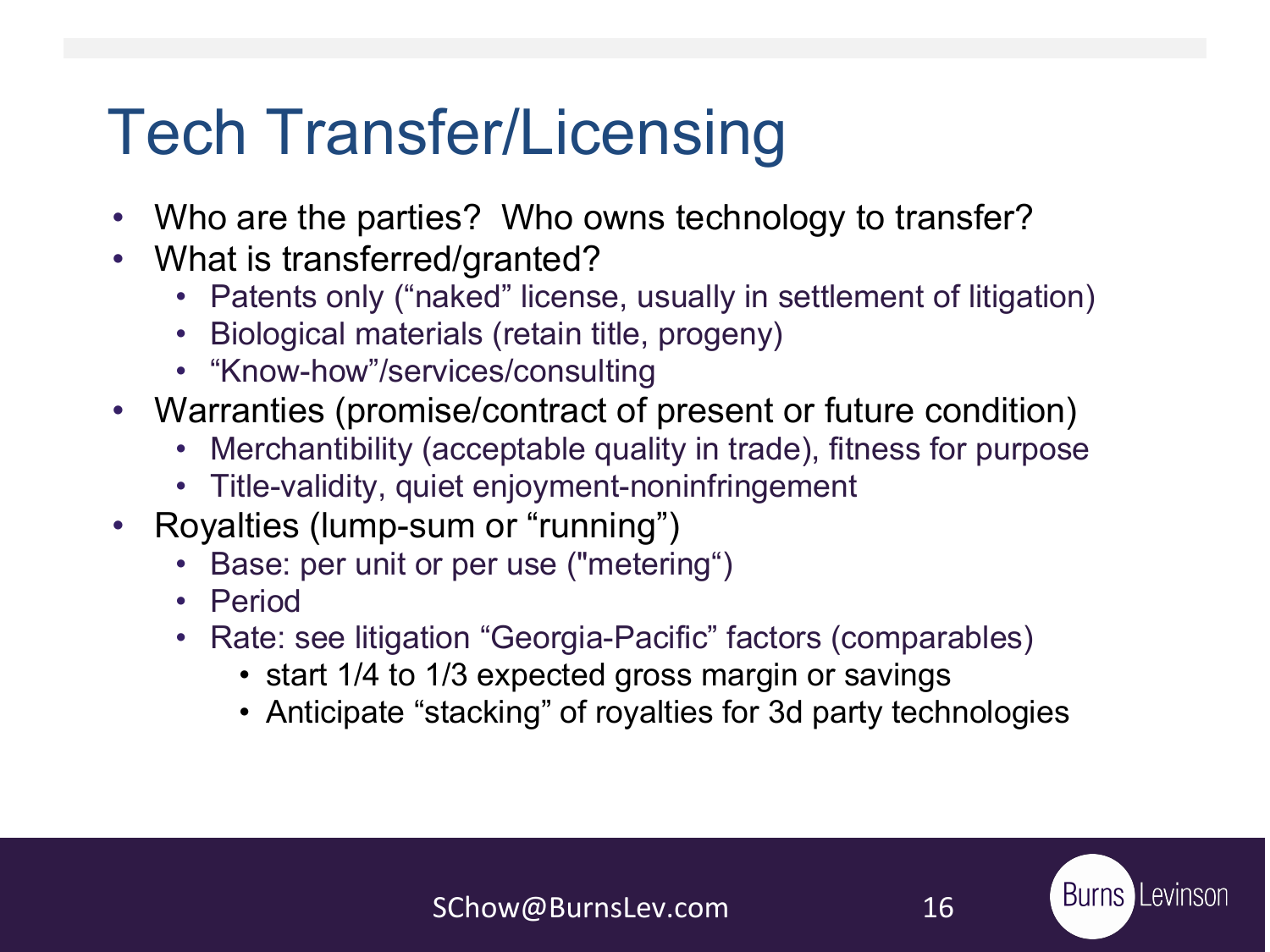## Tech Transfer/Licensing

- Who are the parties? Who owns technology to transfer?
- What is transferred/granted?
	- Patents only ("naked" license, usually in settlement of litigation)
	- Biological materials (retain title, progeny)
	- "Know-how"/services/consulting
- Warranties (promise/contract of present or future condition)
	- Merchantibility (acceptable quality in trade), fitness for purpose
	- Title-validity, quiet enjoyment-noninfringement
- Royalties (lump-sum or "running")
	- Base: per unit or per use ("metering")
	- Period
	- Rate: see litigation "Georgia-Pacific" factors (comparables)
		- start 1/4 to 1/3 expected gross margin or savings
		- Anticipate "stacking" of royalties for 3d party technologies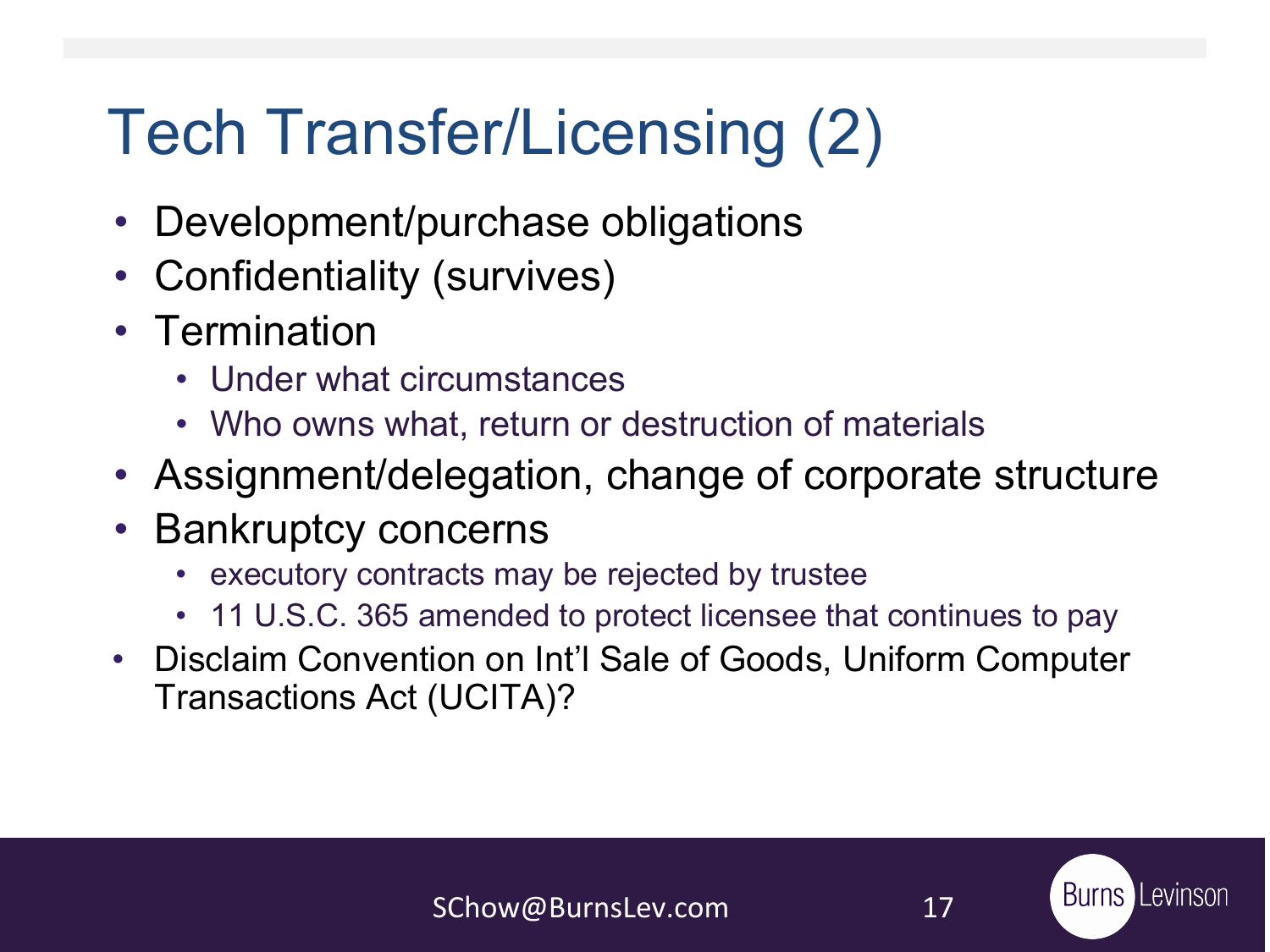## Tech Transfer/Licensing (2)

- Development/purchase obligations
- Confidentiality (survives)
- Termination
	- Under what circumstances
	- Who owns what, return or destruction of materials
- Assignment/delegation, change of corporate structure
- Bankruptcy concerns
	- executory contracts may be rejected by trustee
	- 11 U.S.C. 365 amended to protect licensee that continues to pay
- Disclaim Convention on Int'l Sale of Goods, Uniform Computer Transactions Act (UCITA)?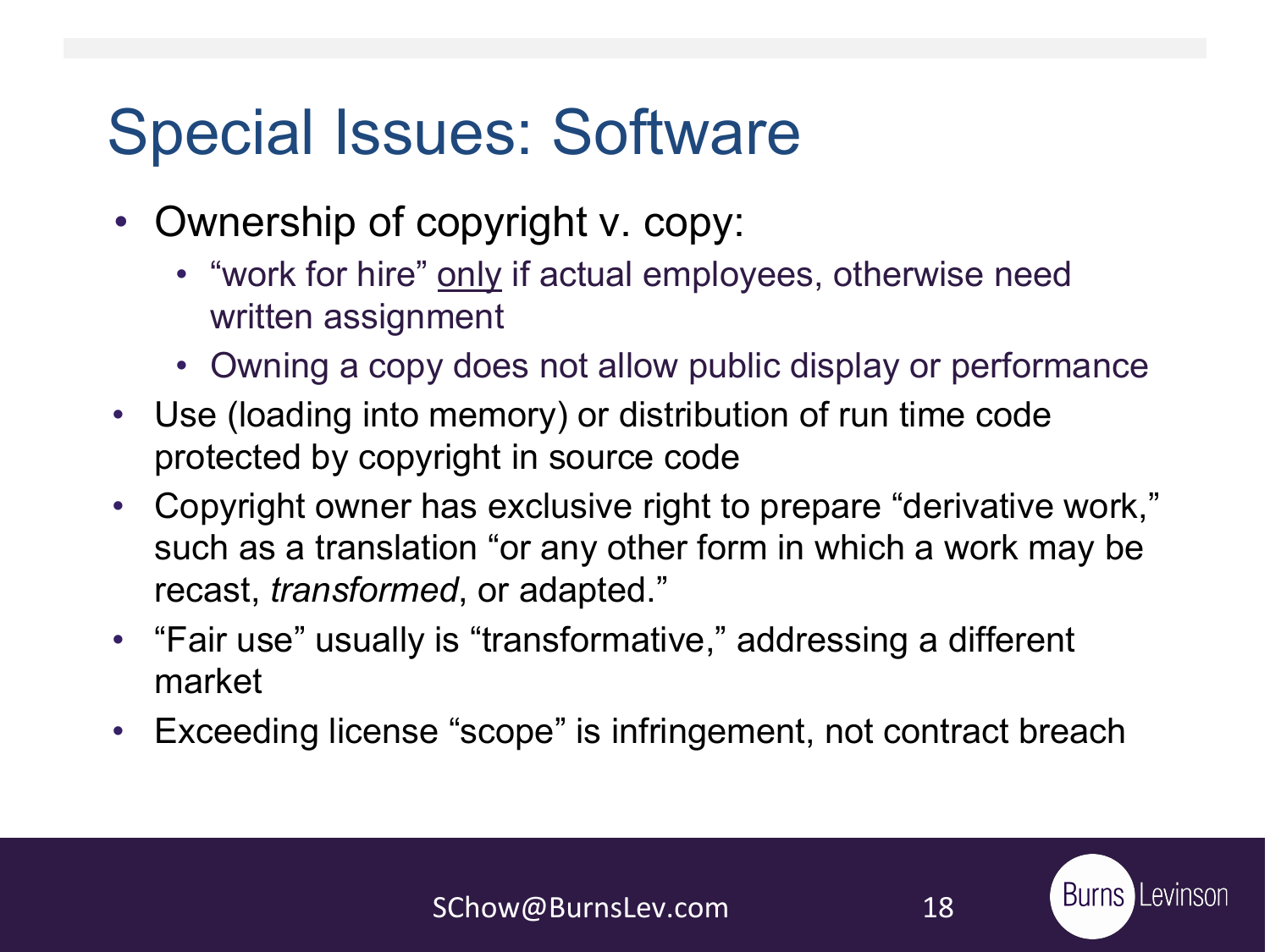## Special Issues: Software

- Ownership of copyright v. copy:
	- "work for hire" only if actual employees, otherwise need written assignment
	- Owning a copy does not allow public display or performance
- Use (loading into memory) or distribution of run time code protected by copyright in source code
- Copyright owner has exclusive right to prepare "derivative work," such as a translation "or any other form in which a work may be recast, *transformed*, or adapted."
- "Fair use" usually is "transformative," addressing a different market
- Exceeding license "scope" is infringement, not contract breach